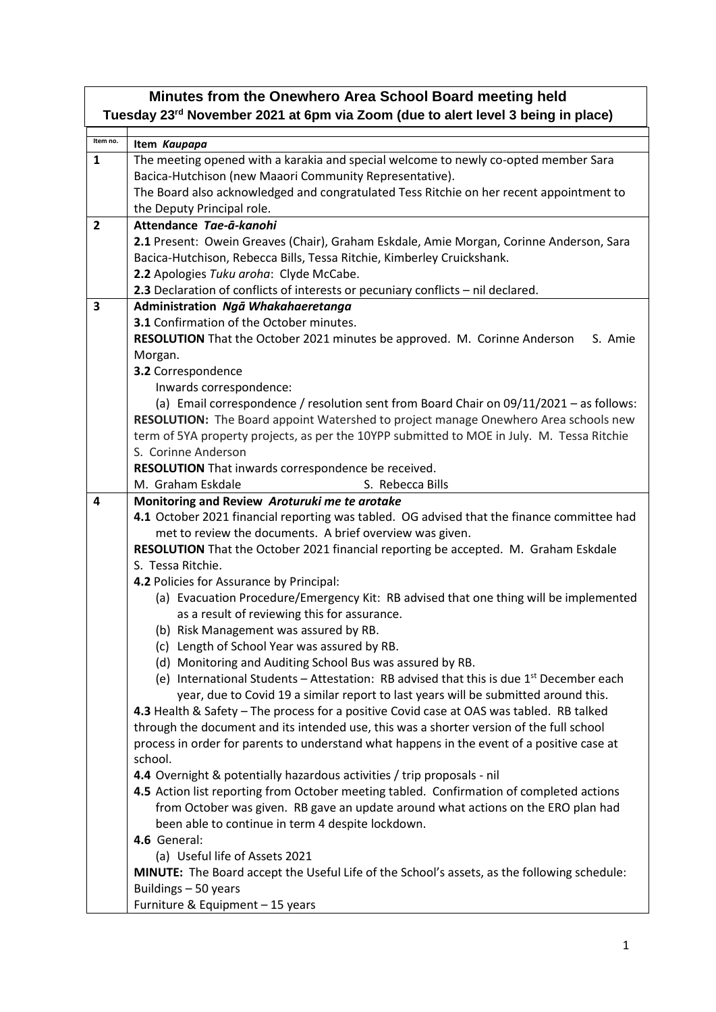| Minutes from the Onewhero Area School Board meeting held<br>Tuesday 23 <sup>rd</sup> November 2021 at 6pm via Zoom (due to alert level 3 being in place) |                                                                                             |  |
|----------------------------------------------------------------------------------------------------------------------------------------------------------|---------------------------------------------------------------------------------------------|--|
| Item no.                                                                                                                                                 | Item Kaupapa                                                                                |  |
| $\mathbf{1}$                                                                                                                                             | The meeting opened with a karakia and special welcome to newly co-opted member Sara         |  |
|                                                                                                                                                          | Bacica-Hutchison (new Maaori Community Representative).                                     |  |
|                                                                                                                                                          | The Board also acknowledged and congratulated Tess Ritchie on her recent appointment to     |  |
|                                                                                                                                                          | the Deputy Principal role.                                                                  |  |
| $\overline{2}$                                                                                                                                           | Attendance Tae-ā-kanohi                                                                     |  |
|                                                                                                                                                          | 2.1 Present: Owein Greaves (Chair), Graham Eskdale, Amie Morgan, Corinne Anderson, Sara     |  |
|                                                                                                                                                          | Bacica-Hutchison, Rebecca Bills, Tessa Ritchie, Kimberley Cruickshank.                      |  |
|                                                                                                                                                          | 2.2 Apologies Tuku aroha: Clyde McCabe.                                                     |  |
|                                                                                                                                                          | 2.3 Declaration of conflicts of interests or pecuniary conflicts - nil declared.            |  |
| 3                                                                                                                                                        | Administration Ngā Whakahaeretanga                                                          |  |
|                                                                                                                                                          | 3.1 Confirmation of the October minutes.                                                    |  |
|                                                                                                                                                          | RESOLUTION That the October 2021 minutes be approved. M. Corinne Anderson<br>S. Amie        |  |
|                                                                                                                                                          | Morgan.                                                                                     |  |
|                                                                                                                                                          | 3.2 Correspondence                                                                          |  |
|                                                                                                                                                          | Inwards correspondence:                                                                     |  |
|                                                                                                                                                          | (a) Email correspondence / resolution sent from Board Chair on 09/11/2021 - as follows:     |  |
|                                                                                                                                                          | RESOLUTION: The Board appoint Watershed to project manage Onewhero Area schools new         |  |
|                                                                                                                                                          | term of 5YA property projects, as per the 10YPP submitted to MOE in July. M. Tessa Ritchie  |  |
|                                                                                                                                                          | S. Corinne Anderson                                                                         |  |
|                                                                                                                                                          | RESOLUTION That inwards correspondence be received.                                         |  |
|                                                                                                                                                          | M. Graham Eskdale<br>S. Rebecca Bills                                                       |  |
| 4                                                                                                                                                        | Monitoring and Review Aroturuki me te arotake                                               |  |
|                                                                                                                                                          | 4.1 October 2021 financial reporting was tabled. OG advised that the finance committee had  |  |
|                                                                                                                                                          | met to review the documents. A brief overview was given.                                    |  |
|                                                                                                                                                          | RESOLUTION That the October 2021 financial reporting be accepted. M. Graham Eskdale         |  |
|                                                                                                                                                          | S. Tessa Ritchie.                                                                           |  |
|                                                                                                                                                          | 4.2 Policies for Assurance by Principal:                                                    |  |
|                                                                                                                                                          | (a) Evacuation Procedure/Emergency Kit: RB advised that one thing will be implemented       |  |
|                                                                                                                                                          | as a result of reviewing this for assurance.                                                |  |
|                                                                                                                                                          | (b) Risk Management was assured by RB.                                                      |  |
|                                                                                                                                                          | (c) Length of School Year was assured by RB.                                                |  |
|                                                                                                                                                          | (d) Monitoring and Auditing School Bus was assured by RB.                                   |  |
|                                                                                                                                                          | (e) International Students - Attestation: RB advised that this is due $1st$ December each   |  |
|                                                                                                                                                          | year, due to Covid 19 a similar report to last years will be submitted around this.         |  |
|                                                                                                                                                          | 4.3 Health & Safety - The process for a positive Covid case at OAS was tabled. RB talked    |  |
|                                                                                                                                                          | through the document and its intended use, this was a shorter version of the full school    |  |
|                                                                                                                                                          | process in order for parents to understand what happens in the event of a positive case at  |  |
|                                                                                                                                                          | school.                                                                                     |  |
|                                                                                                                                                          | 4.4 Overnight & potentially hazardous activities / trip proposals - nil                     |  |
|                                                                                                                                                          | 4.5 Action list reporting from October meeting tabled. Confirmation of completed actions    |  |
|                                                                                                                                                          | from October was given. RB gave an update around what actions on the ERO plan had           |  |
|                                                                                                                                                          | been able to continue in term 4 despite lockdown.                                           |  |
|                                                                                                                                                          | 4.6 General:                                                                                |  |
|                                                                                                                                                          | (a) Useful life of Assets 2021                                                              |  |
|                                                                                                                                                          | MINUTE: The Board accept the Useful Life of the School's assets, as the following schedule: |  |
|                                                                                                                                                          | Buildings - 50 years                                                                        |  |
|                                                                                                                                                          | Furniture & Equipment - 15 years                                                            |  |